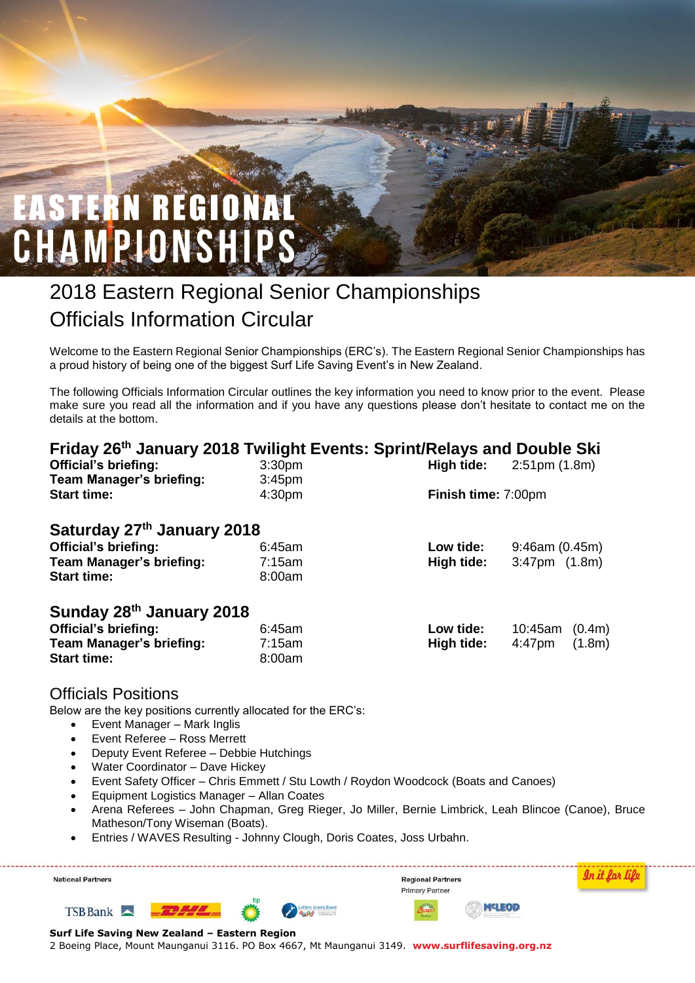# **EASTERN REGIONA** CHAMPIONSHI

# 2018 Eastern Regional Senior Championships Officials Information Circular

Welcome to the Eastern Regional Senior Championships (ERC's). The Eastern Regional Senior Championships has a proud history of being one of the biggest Surf Life Saving Event's in New Zealand.

The following Officials Information Circular outlines the key information you need to know prior to the event. Please make sure you read all the information and if you have any questions please don't hesitate to contact me on the details at the bottom.

| Friday 26 <sup>th</sup> January 2018 Twilight Events: Sprint/Relays and Double Ski |                    |            |                                 |  |  |  |  |  |
|------------------------------------------------------------------------------------|--------------------|------------|---------------------------------|--|--|--|--|--|
| <b>Official's briefing:</b>                                                        | 3:30 <sub>pm</sub> | High tide: | $2:51 \text{pm} (1.8 \text{m})$ |  |  |  |  |  |
| <b>Team Manager's briefing:</b>                                                    | 3:45 <sub>pm</sub> |            |                                 |  |  |  |  |  |
| <b>Start time:</b>                                                                 | 4:30 <sub>pm</sub> |            | Finish time: 7:00pm             |  |  |  |  |  |
|                                                                                    |                    |            |                                 |  |  |  |  |  |
| Saturday 27th January 2018                                                         |                    |            |                                 |  |  |  |  |  |
| <b>Official's briefing:</b>                                                        | 6:45am             | Low tide:  | 9:46am(0.45m)                   |  |  |  |  |  |
| <b>Team Manager's briefing:</b>                                                    | 7:15am             | High tide: | $3:47$ pm $(1.8m)$              |  |  |  |  |  |
| <b>Start time:</b>                                                                 | 8:00am             |            |                                 |  |  |  |  |  |
| Sunday 28th January 2018                                                           |                    |            |                                 |  |  |  |  |  |
| <b>Official's briefing:</b>                                                        | 6:45am             | Low tide:  | 10:45am<br>(0.4m)               |  |  |  |  |  |
| <b>Team Manager's briefing:</b>                                                    | 7:15am             | High tide: | (1.8m)<br>$4:47$ pm             |  |  |  |  |  |
| <b>Start time:</b>                                                                 | 8:00am             |            |                                 |  |  |  |  |  |

#### Officials Positions

Below are the key positions currently allocated for the ERC's:

- Event Manager Mark Inglis
- Event Referee Ross Merrett
- Deputy Event Referee Debbie Hutchings
- Water Coordinator Dave Hickey
- Event Safety Officer Chris Emmett / Stu Lowth / Roydon Woodcock (Boats and Canoes)
- Equipment Logistics Manager Allan Coates
- Arena Referees John Chapman, Greg Rieger, Jo Miller, Bernie Limbrick, Leah Blincoe (Canoe), Bruce Matheson/Tony Wiseman (Boats).
- Entries / WAVES Resulting Johnny Clough, Doris Coates, Joss Urbahn.

| <b>National Partners</b>                      | <b>Regional Partners</b><br>Primary Partner |  |             |       |  |  |
|-----------------------------------------------|---------------------------------------------|--|-------------|-------|--|--|
| $TSB$ Bank                                    |                                             |  | <b>COPS</b> | topin |  |  |
| Surf Life Saving New Zealand - Eastern Region |                                             |  |             |       |  |  |

2 Boeing Place, Mount Maunganui 3116. PO Box 4667, Mt Maunganui 3149. **www.surflifesaving.org.nz**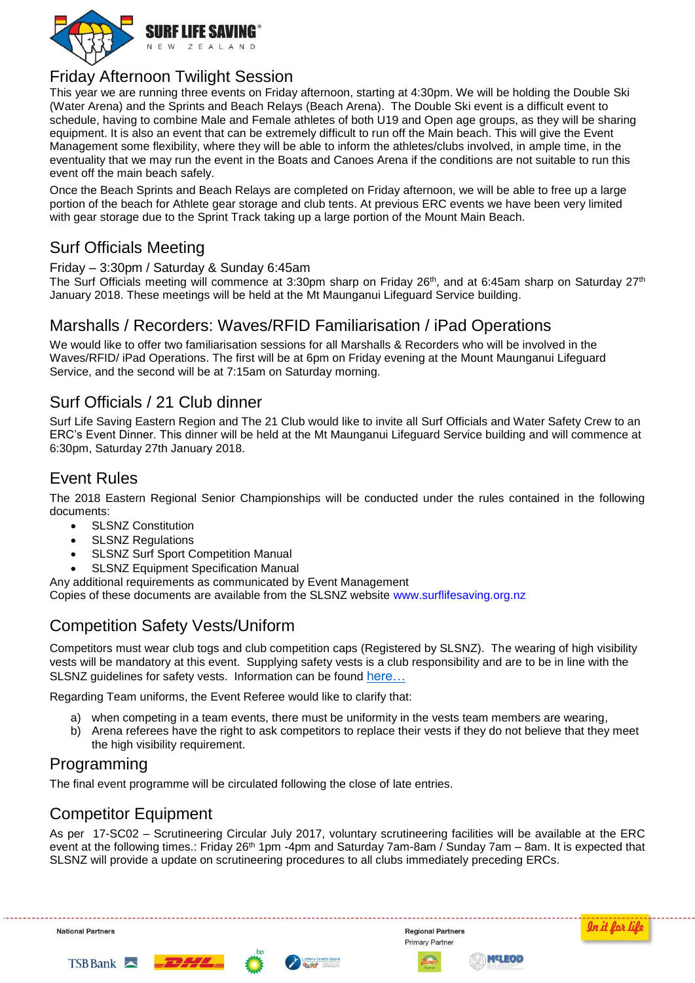

#### Friday Afternoon Twilight Session

This year we are running three events on Friday afternoon, starting at 4:30pm. We will be holding the Double Ski (Water Arena) and the Sprints and Beach Relays (Beach Arena). The Double Ski event is a difficult event to schedule, having to combine Male and Female athletes of both U19 and Open age groups, as they will be sharing equipment. It is also an event that can be extremely difficult to run off the Main beach. This will give the Event Management some flexibility, where they will be able to inform the athletes/clubs involved, in ample time, in the eventuality that we may run the event in the Boats and Canoes Arena if the conditions are not suitable to run this event off the main beach safely.

Once the Beach Sprints and Beach Relays are completed on Friday afternoon, we will be able to free up a large portion of the beach for Athlete gear storage and club tents. At previous ERC events we have been very limited with gear storage due to the Sprint Track taking up a large portion of the Mount Main Beach.

### Surf Officials Meeting

Friday – 3:30pm / Saturday & Sunday 6:45am

The Surf Officials meeting will commence at 3:30pm sharp on Friday 26<sup>th</sup>, and at 6:45am sharp on Saturday 27<sup>th</sup> January 2018. These meetings will be held at the Mt Maunganui Lifeguard Service building.

#### Marshalls / Recorders: Waves/RFID Familiarisation / iPad Operations

We would like to offer two familiarisation sessions for all Marshalls & Recorders who will be involved in the Waves/RFID/ iPad Operations. The first will be at 6pm on Friday evening at the Mount Maunganui Lifeguard Service, and the second will be at 7:15am on Saturday morning.

# Surf Officials / 21 Club dinner

Surf Life Saving Eastern Region and The 21 Club would like to invite all Surf Officials and Water Safety Crew to an ERC's Event Dinner. This dinner will be held at the Mt Maunganui Lifeguard Service building and will commence at 6:30pm, Saturday 27th January 2018.

#### Event Rules

The 2018 Eastern Regional Senior Championships will be conducted under the rules contained in the following documents:

- SLSNZ Constitution
- SLSNZ Regulations
- SLSNZ Surf Sport Competition Manual
- SLSNZ Equipment Specification Manual

Any additional requirements as communicated by Event Management

Copies of these documents are available from the SLSNZ website [www.surflifesaving.org.nz](http://www.surflifesaving.org.nz/)

# Competition Safety Vests/Uniform

Competitors must wear club togs and club competition caps (Registered by SLSNZ). The wearing of high visibility vests will be mandatory at this event. Supplying safety vests is a club responsibility and are to be in line with the SLSNZ guidelines for safety vests. Information can be found here...

Regarding Team uniforms, the Event Referee would like to clarify that:

- a) when competing in a team events, there must be uniformity in the vests team members are wearing,
- b) Arena referees have the right to ask competitors to replace their vests if they do not believe that they meet the high visibility requirement.

#### Programming

The final event programme will be circulated following the close of late entries.

# Competitor Equipment

As per 17-SC02 – Scrutineering Circular July 2017, voluntary scrutineering facilities will be available at the ERC event at the following times.: Friday 26<sup>th</sup> 1pm -4pm and Saturday 7am-8am / Sunday 7am – 8am. It is expected that SLSNZ will provide a update on scrutineering procedures to all clubs immediately preceding ERCs.

**National Partners** 







**Regional Partners** 



MELEOD

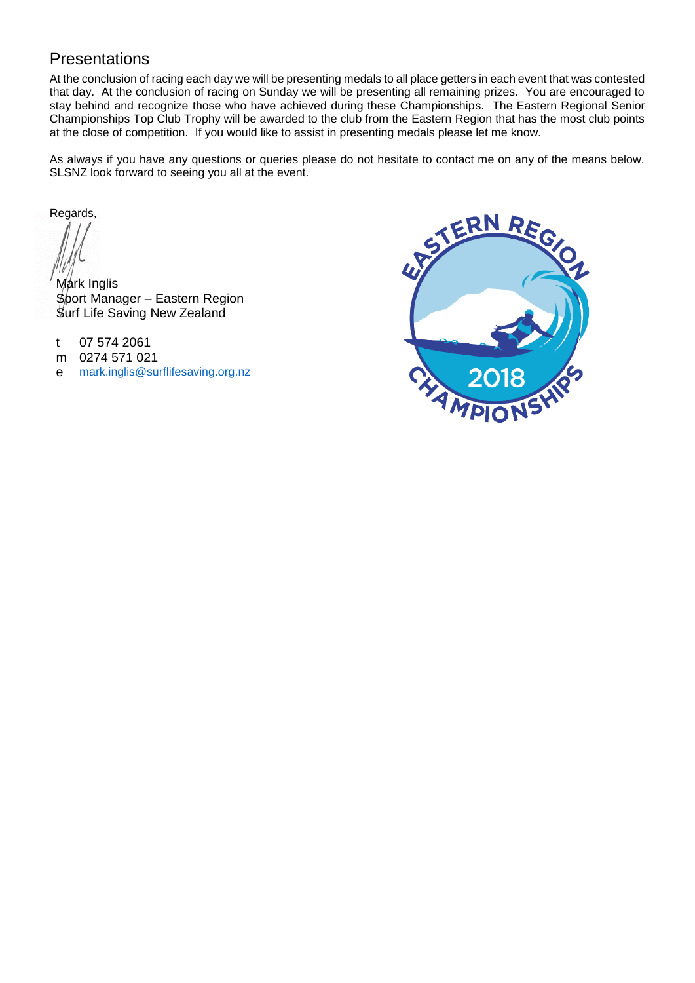## Presentations

At the conclusion of racing each day we will be presenting medals to all place getters in each event that was contested that day. At the conclusion of racing on Sunday we will be presenting all remaining prizes. You are encouraged to stay behind and recognize those who have achieved during these Championships. The Eastern Regional Senior Championships Top Club Trophy will be awarded to the club from the Eastern Region that has the most club points at the close of competition. If you would like to assist in presenting medals please let me know.

As always if you have any questions or queries please do not hesitate to contact me on any of the means below. SLSNZ look forward to seeing you all at the event.

Regards,

Mark Inglis Sport Manager – Eastern Region Surf Life Saving New Zealand

t 07 574 2061

- m 0274 571 021
- e [mark.inglis@surflifesaving.org.nz](mailto:mark.inglis@surflifesaving.org.nz)